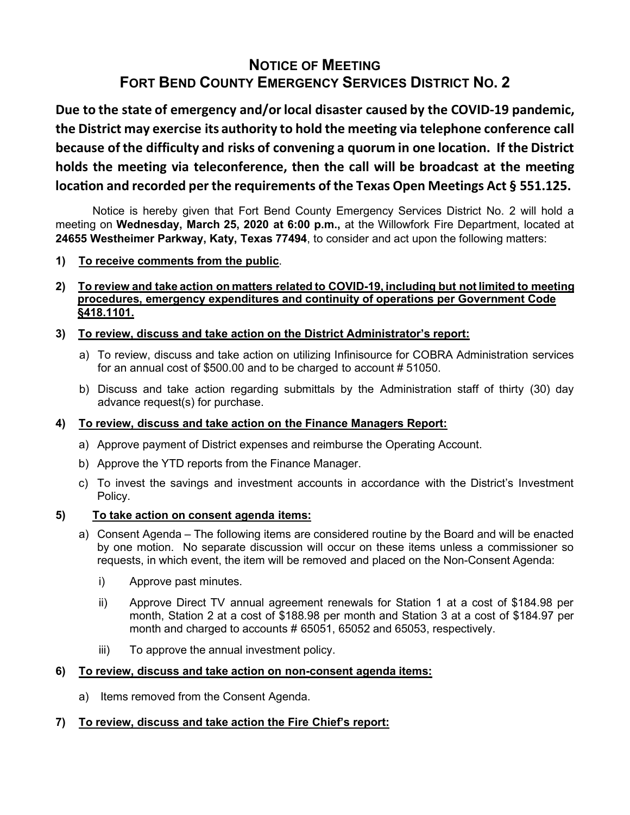# **NOTICE OF MEETING FORT BEND COUNTY EMERGENCY SERVICES DISTRICT NO. 2**

**Due to the state of emergency and/or local disaster caused by the COVID-19 pandemic, the District may exercise its authority to hold the mee�ng via telephone conference call because of the difficulty and risks of convening a quorum in one location. If the District holds the meeting via teleconference, then the call will be broadcast at the mee�ng loca�on and recorded per the requirements of the Texas Open Meetings Act § 551.125.**

Notice is hereby given that Fort Bend County Emergency Services District No. 2 will hold a meeting on **Wednesday, March 25, 2020 at 6:00 p.m.,** at the Willowfork Fire Department, located at **24655 Westheimer Parkway, Katy, Texas 77494**, to consider and act upon the following matters:

- **1) To receive comments from the public**.
- **2) To review and take action on matters related to COVID-19, including but not limited to meeting procedures, emergency expenditures and continuity of operations per Government Code §418.1101.**

## **3) To review, discuss and take action on the District Administrator's report:**

- a) To review, discuss and take action on utilizing Infinisource for COBRA Administration services for an annual cost of \$500.00 and to be charged to account # 51050.
- b) Discuss and take action regarding submittals by the Administration staff of thirty (30) day advance request(s) for purchase.

#### **4) To review, discuss and take action on the Finance Managers Report:**

- a) Approve payment of District expenses and reimburse the Operating Account.
- b) Approve the YTD reports from the Finance Manager.
- c) To invest the savings and investment accounts in accordance with the District's Investment Policy.

#### **5) To take action on consent agenda items:**

- a) Consent Agenda The following items are considered routine by the Board and will be enacted by one motion. No separate discussion will occur on these items unless a commissioner so requests, in which event, the item will be removed and placed on the Non-Consent Agenda:
	- i) Approve past minutes.
	- ii) Approve Direct TV annual agreement renewals for Station 1 at a cost of \$184.98 per month, Station 2 at a cost of \$188.98 per month and Station 3 at a cost of \$184.97 per month and charged to accounts # 65051, 65052 and 65053, respectively.
	- iii) To approve the annual investment policy.

#### **6) To review, discuss and take action on non-consent agenda items:**

a) Items removed from the Consent Agenda.

#### **7) To review, discuss and take action the Fire Chief's report:**